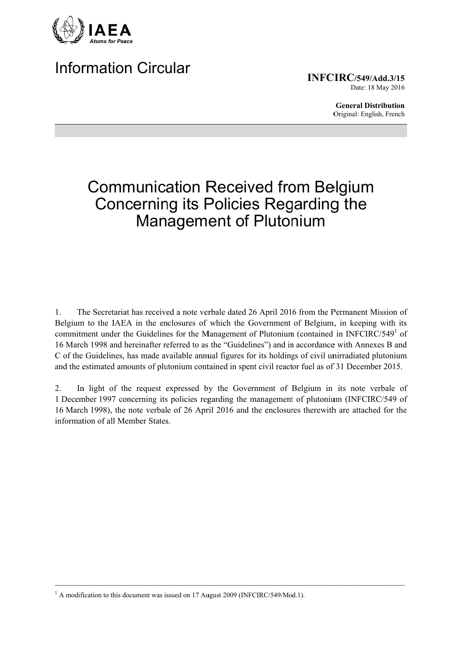

# **Information Circular**

**INFCIRC/549/Add.3/15** Date: 18 May 2016

> **General Distribution** Original: English, French

# **Communication Received from Belgium Concerning its Policies Regarding the Management of Plutonium**

The Secretariat has received a note verbale dated 26 April 2016 from the Permanent Mission of  $1<sub>1</sub>$ Belgium to the IAEA in the enclosures of which the Government of Belgium, in keeping with its commitment under the Guidelines for the Management of Plutonium (contained in INFCIRC/549<sup>1</sup> of 16 March 1998 and hereinafter referred to as the "Guidelines") and in accordance with Annexes B and C of the Guidelines, has made available annual figures for its holdings of civil unirradiated plutonium and the estimated amounts of plutonium contained in spent civil reactor fuel as of 31 December 2015.

In light of the request expressed by the Government of Belgium in its note verbale of  $\overline{2}$ . 1 December 1997 concerning its policies regarding the management of plutonium (INFCIRC/549 of 16 March 1998), the note verbale of 26 April 2016 and the enclosures therewith are attached for the information of all Member States.

<sup>&</sup>lt;sup>1</sup> A modification to this document was issued on 17 August 2009 (INFCIRC/549/Mod.1).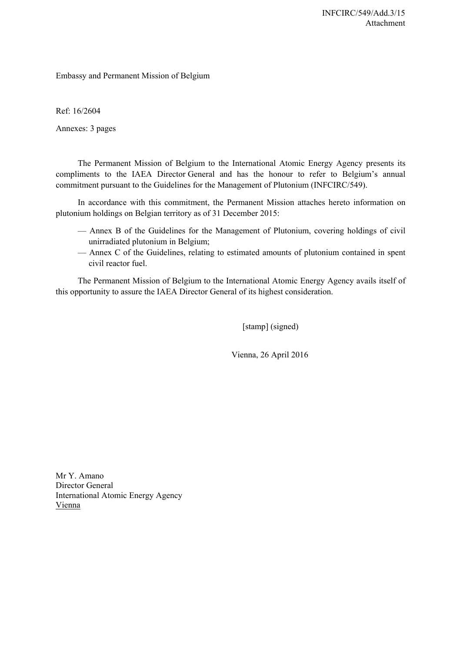Embassy and Permanent Mission of Belgium

Ref: 16/2604

Annexes: 3 pages

The Permanent Mission of Belgium to the International Atomic Energy Agency presents its compliments to the IAEA Director General and has the honour to refer to Belgium's annual commitment pursuant to the Guidelines for the Management of Plutonium (INFCIRC/549).

In accordance with this commitment, the Permanent Mission attaches hereto information on plutonium holdings on Belgian territory as of 31 December 2015:

- Annex B of the Guidelines for the Management of Plutonium, covering holdings of civil unirradiated plutonium in Belgium;
- Annex C of the Guidelines, relating to estimated amounts of plutonium contained in spent civil reactor fuel.

The Permanent Mission of Belgium to the International Atomic Energy Agency avails itself of this opportunity to assure the IAEA Director General of its highest consideration.

[stamp] (signed)

Vienna, 26 April 2016

Mr Y. Amano Director General International Atomic Energy Agency Vienna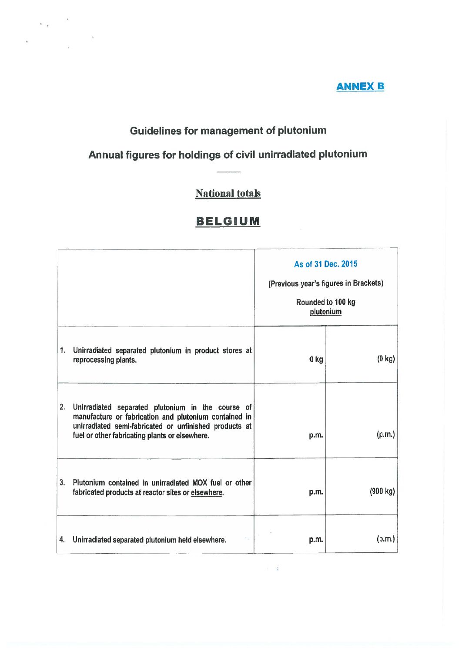#### **ANNEX B**

# **Guidelines for management of plutonium**

 $\alpha_{\rm eff}$ 

# Annual figures for holdings of civil unirradiated plutonium

# **National totals**

# **BELGIUM**

|    |                                                                                                                                                                                                                        | As of 31 Dec. 2015<br>(Previous year's figures in Brackets)<br>Rounded to 100 kg<br>plutonium |                  |
|----|------------------------------------------------------------------------------------------------------------------------------------------------------------------------------------------------------------------------|-----------------------------------------------------------------------------------------------|------------------|
| 1. | Unirradiated separated plutonium in product stores at<br>reprocessing plants.                                                                                                                                          | 0 <sub>kg</sub>                                                                               | $(0 \text{ kg})$ |
| 2. | Unirradiated separated plutonium in the course of<br>manufacture or fabrication and plutonium contained in<br>unirradiated semi-fabricated or unfinished products at<br>fuel or other fabricating plants or elsewhere. | p.m.                                                                                          | (p.m.)           |
| 3. | Plutonium contained in unirradiated MOX fuel or other<br>fabricated products at reactor sites or elsewhere.                                                                                                            | p.m.                                                                                          | (900 kg)         |
| 4. | Unirradiated separated plutonium held elsewhere.                                                                                                                                                                       | p.m.                                                                                          | (p.m.)           |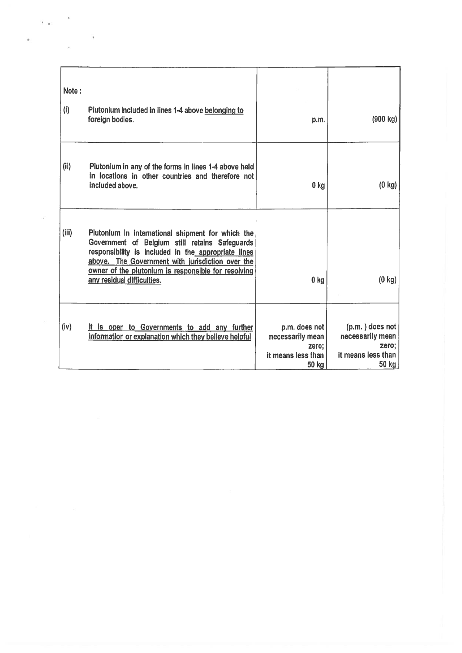| Note:<br>(i) | Plutonium Included in lines 1-4 above belonging to<br>foreign bodies.                                                                                                                                                                                                                               | p.m.                                                                      | (900 kg)                                                                      |
|--------------|-----------------------------------------------------------------------------------------------------------------------------------------------------------------------------------------------------------------------------------------------------------------------------------------------------|---------------------------------------------------------------------------|-------------------------------------------------------------------------------|
| (ii)         | Plutonium in any of the forms in lines 1-4 above held<br>in locations in other countries and therefore not<br>included above.                                                                                                                                                                       | 0 <sub>kg</sub>                                                           | $(0 \text{ kg})$                                                              |
| (iii)        | Plutonium in international shipment for which the<br>Government of Belgium still retains Safeguards<br>responsibility is included in the appropriate lines<br>above. The Government with jurisdiction over the<br>owner of the plutonium is responsible for resolving<br>any residual difficulties. | 0 <sub>kg</sub>                                                           | $(0 \text{ kg})$                                                              |
| (iv)         | It is open to Governments to add any further<br>information or explanation which they believe helpful                                                                                                                                                                                               | p.m. does not<br>necessarily mean<br>zero:<br>it means less than<br>50 kg | $(p.m.)$ does not<br>necessarily mean<br>zero;<br>it means less than<br>50 kg |